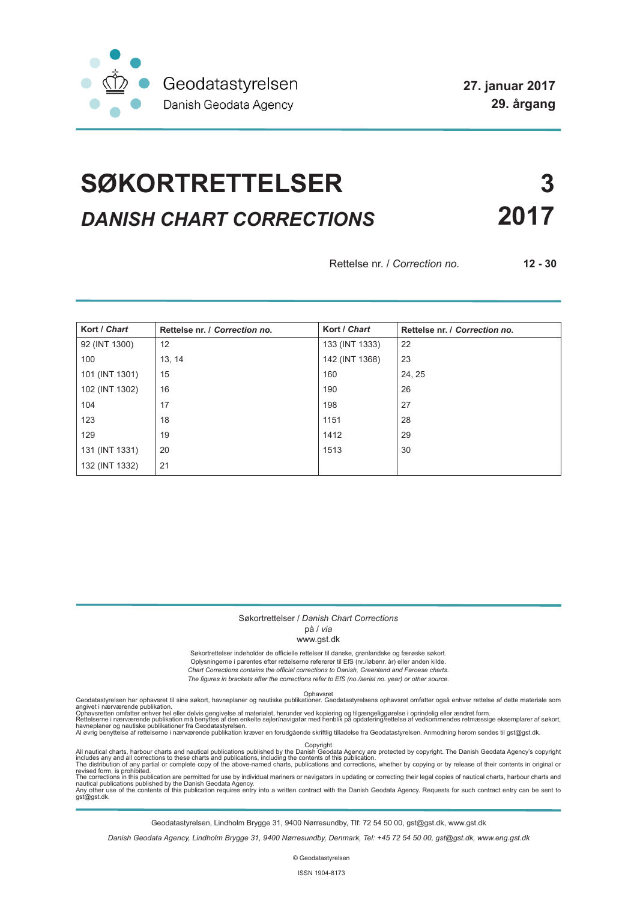

# **SØKORTRETTELSER 3** *DANISH CHART CORRECTIONS* **2017**

Rettelse nr. / *Correction no.* **12 - 30**

| Kort / Chart   | Rettelse nr. / Correction no. | Kort / Chart   | Rettelse nr. / Correction no. |
|----------------|-------------------------------|----------------|-------------------------------|
| 92 (INT 1300)  | 12                            | 133 (INT 1333) | 22                            |
| 100            | 13, 14                        | 142 (INT 1368) | 23                            |
| 101 (INT 1301) | 15                            | 160            | 24, 25                        |
| 102 (INT 1302) | 16                            | 190            | 26                            |
| 104            | 17                            | 198            | 27                            |
| 123            | 18                            | 1151           | 28                            |
| 129            | 19                            | 1412           | 29                            |
| 131 (INT 1331) | 20                            | 1513           | 30                            |
| 132 (INT 1332) | 21                            |                |                               |

#### Søkortrettelser / *Danish Chart Corrections*

på / *via*

www.gst.dk

Søkortrettelser indeholder de officielle rettelser til danske, grønlandske og færøske søkort. Oplysningerne i parentes efter rettelserne refererer til EfS (nr./løbenr. år) eller anden kilde. *Chart Corrections contains the official corrections to Danish, Greenland and Faroese charts. The figures in brackets after the corrections refer to EfS (no./serial no. year) or other source.*

Ophavsret Geodatastyrelsen har ophavsret til sine søkort, havneplaner og nautiske publikationer. Geodatastyrelsens ophavsret omfatter også enhver rettelse af dette materiale som

angivet i nærværende publikation.<br>Ophavsretten omfatter enhver hel eller delvis gengivelse af materialet, herunder ved kopiering og tilgængeliggørelse i oprindelig eller ændret form.<br>Rettelserne i nærværende publikation må

All nautical charts, harbour charts and nautical publications published by the Dopyright<br>includes any and all corrections to these charts and publications, including the contents of this publication.<br>The distribution of an

Geodatastyrelsen, Lindholm Brygge 31, 9400 Nørresundby, Tlf: 72 54 50 00, gst@gst.dk, www.gst.dk

*Danish Geodata Agency, Lindholm Brygge 31, 9400 Nørresundby, Denmark, Tel: +45 72 54 50 00, gst@gst.dk, www.eng.gst.dk*

© Geodatastyrelsen

ISSN 1904-8173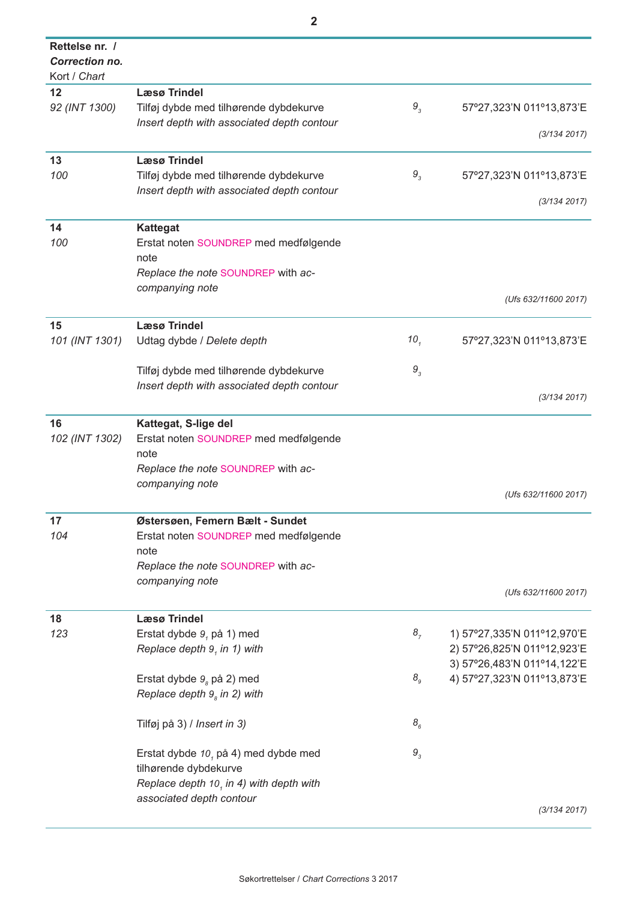| Rettelse nr. / |                                            |                   |                             |
|----------------|--------------------------------------------|-------------------|-----------------------------|
| Correction no. |                                            |                   |                             |
| Kort / Chart   |                                            |                   |                             |
| 12             | <b>Læsø Trindel</b>                        |                   |                             |
| 92 (INT 1300)  | Tilføj dybde med tilhørende dybdekurve     | $9_{3}$           | 57°27,323'N 011°13,873'E    |
|                | Insert depth with associated depth contour |                   |                             |
|                |                                            |                   | (3/134 2017)                |
|                |                                            |                   |                             |
| 13             | <b>Læsø Trindel</b>                        |                   |                             |
| 100            | Tilføj dybde med tilhørende dybdekurve     | $9_{3}$           | 57°27,323'N 011°13,873'E    |
|                | Insert depth with associated depth contour |                   |                             |
|                |                                            |                   | (3/134 2017)                |
| 14             | <b>Kattegat</b>                            |                   |                             |
|                |                                            |                   |                             |
| 100            | Erstat noten SOUNDREP med medfølgende      |                   |                             |
|                | note                                       |                   |                             |
|                | Replace the note SOUNDREP with ac-         |                   |                             |
|                | companying note                            |                   |                             |
|                |                                            |                   | (Ufs 632/11600 2017)        |
| 15             | <b>Læsø Trindel</b>                        |                   |                             |
| 101 (INT 1301) | Udtag dybde / Delete depth                 | 10 <sub>1</sub>   | 57°27,323'N 011°13,873'E    |
|                |                                            |                   |                             |
|                | Tilføj dybde med tilhørende dybdekurve     | $9_{3}$           |                             |
|                |                                            |                   |                             |
|                | Insert depth with associated depth contour |                   | (3/134 2017)                |
|                |                                            |                   |                             |
| 16             | Kattegat, S-lige del                       |                   |                             |
| 102 (INT 1302) | Erstat noten SOUNDREP med medfølgende      |                   |                             |
|                | note                                       |                   |                             |
|                | Replace the note SOUNDREP with ac-         |                   |                             |
|                | companying note                            |                   |                             |
|                |                                            |                   | (Ufs 632/11600 2017)        |
|                |                                            |                   |                             |
| 17             | Østersøen, Femern Bælt - Sundet            |                   |                             |
| 104            | Erstat noten SOUNDREP med medfølgende      |                   |                             |
|                | note                                       |                   |                             |
|                | Replace the note SOUNDREP with ac-         |                   |                             |
|                | companying note                            |                   |                             |
|                |                                            |                   | (Ufs 632/11600 2017)        |
|                |                                            |                   |                             |
| 18             | <b>Læsø Trindel</b>                        |                   |                             |
| 123            | Erstat dybde 9, på 1) med                  | 8 <sub>7</sub>    | 1) 57°27,335'N 011°12,970'E |
|                | Replace depth 9, in 1) with                |                   | 2) 57°26,825'N 011°12,923'E |
|                |                                            |                   | 3) 57°26,483'N 011°14,122'E |
|                | Erstat dybde $9s$ på 2) med                | $\mathcal{B}_{g}$ | 4) 57°27,323'N 011°13,873'E |
|                | Replace depth $9s$ in 2) with              |                   |                             |
|                |                                            |                   |                             |
|                | Tilføj på 3) / Insert in 3)                | 8 <sub>6</sub>    |                             |
|                |                                            |                   |                             |
|                | Erstat dybde $101$ på 4) med dybde med     | $\mathbf{9}_3$    |                             |
|                | tilhørende dybdekurve                      |                   |                             |
|                | Replace depth 10, in 4) with depth with    |                   |                             |
|                | associated depth contour                   |                   |                             |
|                |                                            |                   | (3/134 2017)                |
|                |                                            |                   |                             |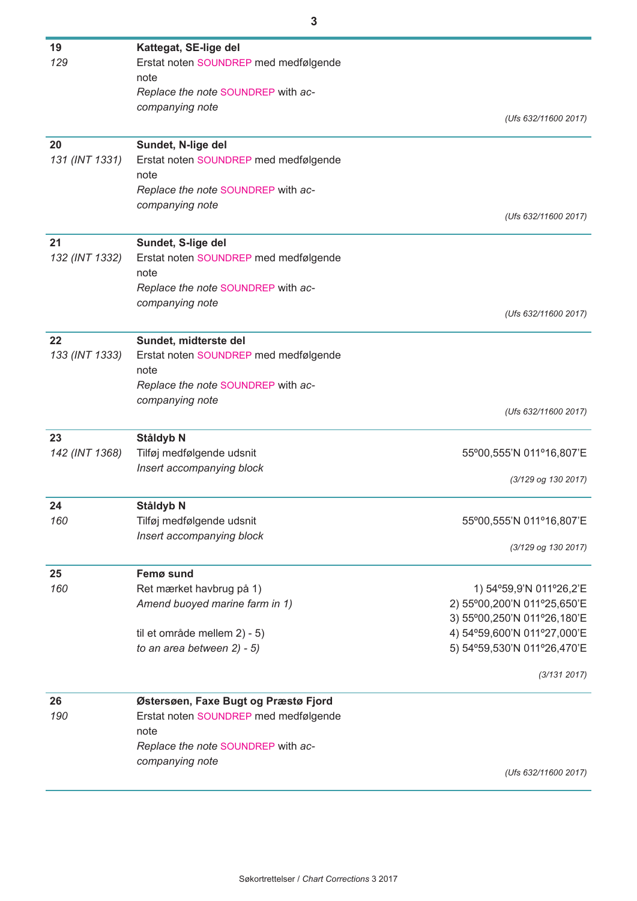| 19             | Kattegat, SE-lige del                 |                             |
|----------------|---------------------------------------|-----------------------------|
| 129            | Erstat noten SOUNDREP med medfølgende |                             |
|                | note                                  |                             |
|                | Replace the note SOUNDREP with ac-    |                             |
|                | companying note                       |                             |
|                |                                       | (Ufs 632/11600 2017)        |
| 20             | Sundet, N-lige del                    |                             |
| 131 (INT 1331) | Erstat noten SOUNDREP med medfølgende |                             |
|                | note                                  |                             |
|                | Replace the note SOUNDREP with ac-    |                             |
|                | companying note                       | (Ufs 632/11600 2017)        |
|                |                                       |                             |
| 21             | Sundet, S-lige del                    |                             |
| 132 (INT 1332) | Erstat noten SOUNDREP med medfølgende |                             |
|                | note                                  |                             |
|                | Replace the note SOUNDREP with ac-    |                             |
|                | companying note                       |                             |
|                |                                       | (Ufs 632/11600 2017)        |
| 22             | Sundet, midterste del                 |                             |
| 133 (INT 1333) | Erstat noten SOUNDREP med medfølgende |                             |
|                | note                                  |                             |
|                | Replace the note SOUNDREP with ac-    |                             |
|                | companying note                       |                             |
|                |                                       | (Ufs 632/11600 2017)        |
| 23             | Ståldyb N                             |                             |
| 142 (INT 1368) | Tilføj medfølgende udsnit             | 55°00,555'N 011°16,807'E    |
|                | Insert accompanying block             |                             |
|                |                                       | (3/129 og 130 2017)         |
| 24             | Ståldyb N                             |                             |
| 160            | Tilføj medfølgende udsnit             | 55°00,555'N 011°16,807'E    |
|                | Insert accompanying block             |                             |
|                |                                       | (3/129 og 130 2017)         |
| 25             | Femø sund                             |                             |
| 160            | Ret mærket havbrug på 1)              | 1) 54°59,9'N 011°26,2'E     |
|                | Amend buoyed marine farm in 1)        | 2) 55°00,200'N 011°25,650'E |
|                |                                       | 3) 55°00,250'N 011°26,180'E |
|                | til et område mellem 2) - 5)          | 4) 54°59,600'N 011°27,000'E |
|                | to an area between 2) - 5)            | 5) 54°59,530'N 011°26,470'E |
|                |                                       |                             |
|                |                                       | (3/131 2017)                |
| 26             | Østersøen, Faxe Bugt og Præstø Fjord  |                             |
| 190            | Erstat noten SOUNDREP med medfølgende |                             |
|                | note                                  |                             |
|                | Replace the note SOUNDREP with ac-    |                             |
|                | companying note                       |                             |
|                |                                       | (Ufs 632/11600 2017)        |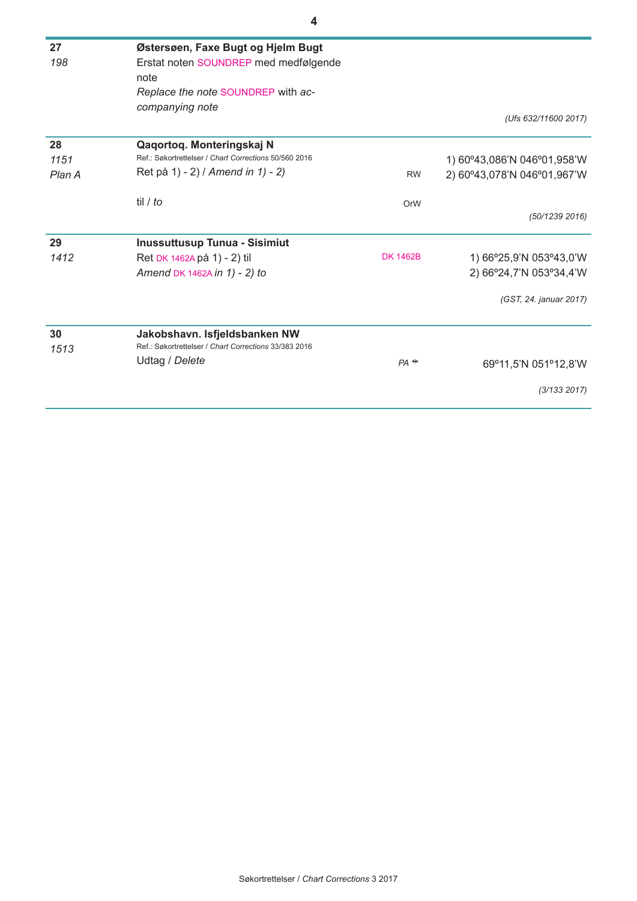| 27     | Østersøen, Faxe Bugt og Hjelm Bugt                    |                 |                             |
|--------|-------------------------------------------------------|-----------------|-----------------------------|
| 198    | Erstat noten SOUNDREP med medfølgende                 |                 |                             |
|        | note                                                  |                 |                             |
|        | Replace the note SOUNDREP with ac-                    |                 |                             |
|        | companying note                                       |                 |                             |
|        |                                                       |                 | (Ufs 632/11600 2017)        |
| 28     | Qaqortoq. Monteringskaj N                             |                 |                             |
| 1151   | Ref.: Søkortrettelser / Chart Corrections 50/560 2016 |                 | 1) 60°43,086'N 046°01,958'W |
| Plan A | Ret på 1) - 2) / Amend in 1) - 2)                     | <b>RW</b>       | 2) 60°43,078'N 046°01,967'W |
|        | til / to                                              | OrW             |                             |
|        |                                                       |                 | (50/1239 2016)              |
| 29     | <b>Inussuttusup Tunua - Sisimiut</b>                  |                 |                             |
| 1412   | Ret DK 1462A på 1) - 2) til                           | <b>DK 1462B</b> | 1) 66°25,9'N 053°43,0'W     |
|        | Amend DK 1462A in 1) - 2) to                          |                 | 2) 66°24,7'N 053°34,4'W     |
|        |                                                       |                 | (GST, 24. januar 2017)      |
| 30     | Jakobshavn. Isfjeldsbanken NW                         |                 |                             |
| 1513   | Ref.: Søkortrettelser / Chart Corrections 33/383 2016 |                 |                             |
|        | Udtag / Delete                                        | $PA$ $+$        | 69°11,5'N 051°12,8'W        |
|        |                                                       |                 | (3/133 2017)                |
|        |                                                       |                 |                             |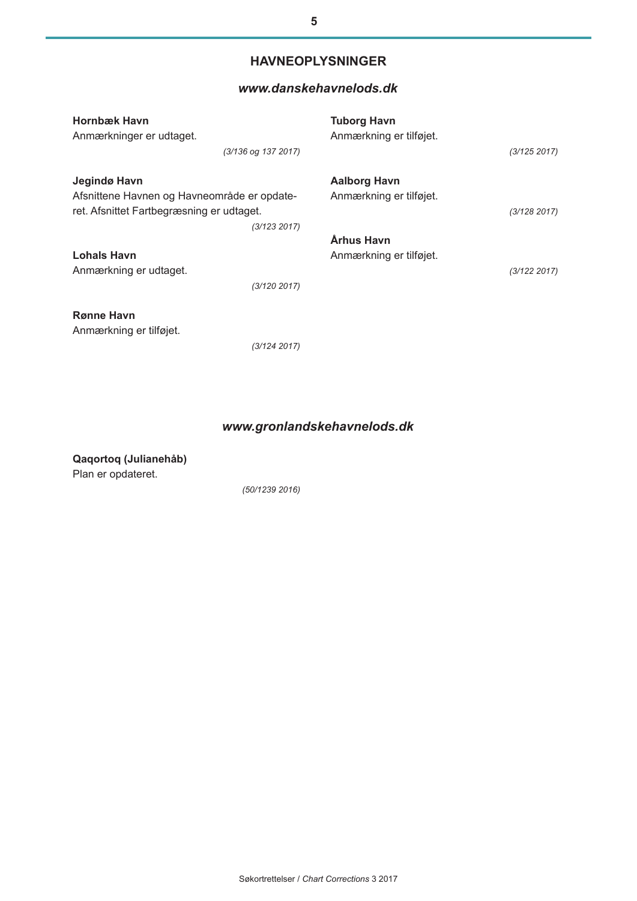### **HAVNEOPLYSNINGER**

#### *[www.danskehavnelods.dk](http://www.danskehavnelods.dk/)*

| <b>Hornbæk Havn</b><br>Anmærkninger er udtaget. |                     | <b>Tuborg Havn</b><br>Anmærkning er tilføjet. |              |
|-------------------------------------------------|---------------------|-----------------------------------------------|--------------|
|                                                 | (3/136 og 137 2017) |                                               | (3/125 2017) |
| Jegindø Havn                                    |                     | <b>Aalborg Havn</b>                           |              |
| Afsnittene Havnen og Havneområde er opdate-     |                     | Anmærkning er tilføjet.                       |              |
| ret. Afsnittet Fartbegræsning er udtaget.       |                     |                                               | (3/128 2017) |
|                                                 | (3/123 2017)        |                                               |              |
|                                                 |                     | Århus Havn                                    |              |
| <b>Lohals Havn</b>                              |                     | Anmærkning er tilføjet.                       |              |
| Anmærkning er udtaget.                          |                     |                                               | (3/122 2017) |
|                                                 | (3/120 2017)        |                                               |              |
| <b>Rønne Havn</b>                               |                     |                                               |              |
| Anmærkning er tilføjet.                         |                     |                                               |              |
|                                                 | (3/124 2017)        |                                               |              |

## *[www.gronlandskehavnelods.dk](http://www.danskehavnelods.dk/)*

**Qaqortoq (Julianehåb)** Plan er opdateret.

*(50/1239 2016)*